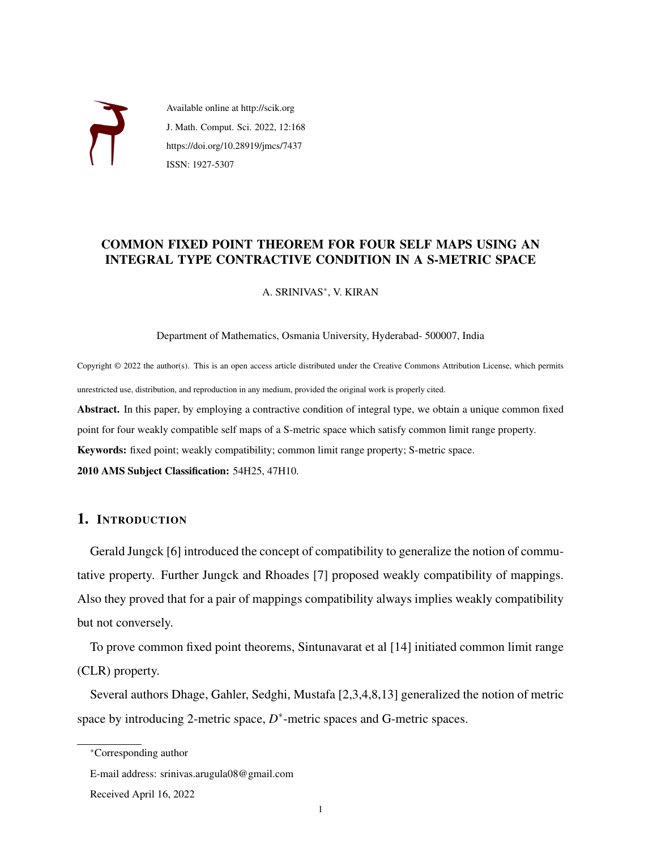

Available online at http://scik.org J. Math. Comput. Sci. 2022, 12:168 https://doi.org/10.28919/jmcs/7437 ISSN: 1927-5307

## COMMON FIXED POINT THEOREM FOR FOUR SELF MAPS USING AN INTEGRAL TYPE CONTRACTIVE CONDITION IN A S-METRIC SPACE

A. SRINIVAS<sup>∗</sup> , V. KIRAN

Department of Mathematics, Osmania University, Hyderabad- 500007, India

Copyright © 2022 the author(s). This is an open access article distributed under the Creative Commons Attribution License, which permits unrestricted use, distribution, and reproduction in any medium, provided the original work is properly cited.

Abstract. In this paper, by employing a contractive condition of integral type, we obtain a unique common fixed point for four weakly compatible self maps of a S-metric space which satisfy common limit range property.

Keywords: fixed point; weakly compatibility; common limit range property; S-metric space.

2010 AMS Subject Classification: 54H25, 47H10.

# 1. INTRODUCTION

Gerald Jungck [6] introduced the concept of compatibility to generalize the notion of commutative property. Further Jungck and Rhoades [7] proposed weakly compatibility of mappings. Also they proved that for a pair of mappings compatibility always implies weakly compatibility but not conversely.

To prove common fixed point theorems, Sintunavarat et al [14] initiated common limit range (CLR) property.

Several authors Dhage, Gahler, Sedghi, Mustafa [2,3,4,8,13] generalized the notion of metric space by introducing 2-metric space,  $D^*$ -metric spaces and G-metric spaces.

<sup>∗</sup>Corresponding author

E-mail address: srinivas.arugula08@gmail.com

Received April 16, 2022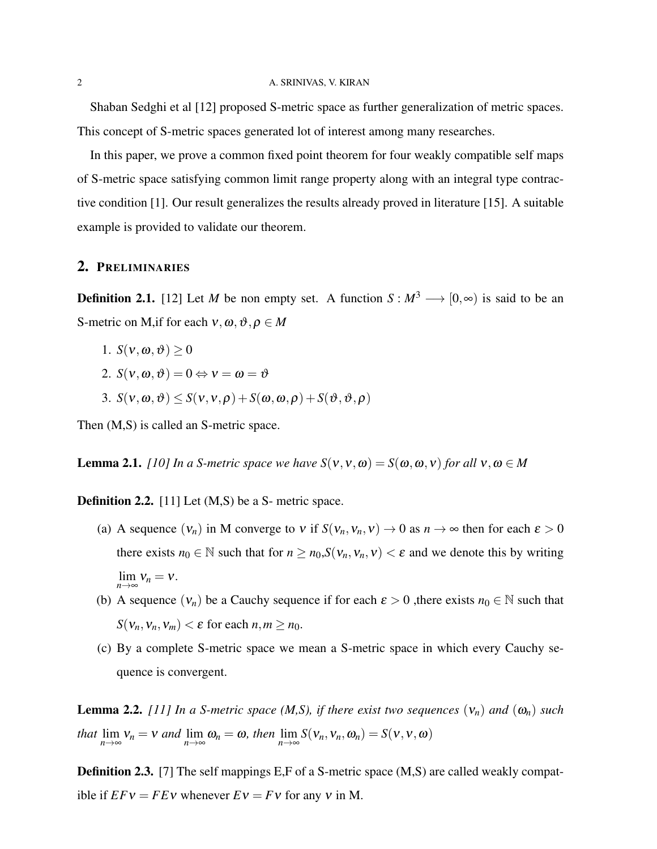Shaban Sedghi et al [12] proposed S-metric space as further generalization of metric spaces. This concept of S-metric spaces generated lot of interest among many researches.

In this paper, we prove a common fixed point theorem for four weakly compatible self maps of S-metric space satisfying common limit range property along with an integral type contractive condition [1]. Our result generalizes the results already proved in literature [15]. A suitable example is provided to validate our theorem.

### 2. PRELIMINARIES

**Definition 2.1.** [12] Let *M* be non empty set. A function  $S : M^3 \longrightarrow [0, \infty)$  is said to be an S-metric on M, if for each  $v, \omega, \vartheta, \rho \in M$ 

- 1.  $S(v, \omega, \vartheta) > 0$
- 2.  $S(v, \omega, \vartheta) = 0 \Leftrightarrow v = \omega = \vartheta$
- 3.  $S(v, \omega, \vartheta) \leq S(v, v, \rho) + S(\omega, \omega, \rho) + S(\vartheta, \vartheta, \rho)$

Then (M,S) is called an S-metric space.

**Lemma 2.1.** *[10] In a S-metric space we have*  $S(v, v, \omega) = S(\omega, \omega, v)$  *for all*  $v, \omega \in M$ 

Definition 2.2. [11] Let (M,S) be a S- metric space.

- (a) A sequence  $(v_n)$  in M converge to v if  $S(v_n, v_n, v) \to 0$  as  $n \to \infty$  then for each  $\varepsilon > 0$ there exists  $n_0 \in \mathbb{N}$  such that for  $n \ge n_0$ ,  $S(v_n, v_n, v) < \varepsilon$  and we denote this by writing  $\lim_{n\to\infty}v_n=v.$
- (b) A sequence  $(v_n)$  be a Cauchy sequence if for each  $\varepsilon > 0$ , there exists  $n_0 \in \mathbb{N}$  such that  $S(v_n, v_n, v_m) < \varepsilon$  for each  $n, m \ge n_0$ .
- (c) By a complete S-metric space we mean a S-metric space in which every Cauchy sequence is convergent.

**Lemma 2.2.** *[11] In a S-metric space (M,S), if there exist two sequences*  $(v_n)$  *and*  $(\omega_n)$  *such that*  $\lim_{n \to \infty} v_n = v$  *and*  $\lim_{n \to \infty} \omega_n = \omega$ *, then*  $\lim_{n \to \infty} S(v_n, v_n, \omega_n) = S(v, v, \omega)$ 

**Definition 2.3.** [7] The self mappings E,F of a S-metric space (M,S) are called weakly compatible if  $E F v = F E v$  whenever  $E v = F v$  for any v in M.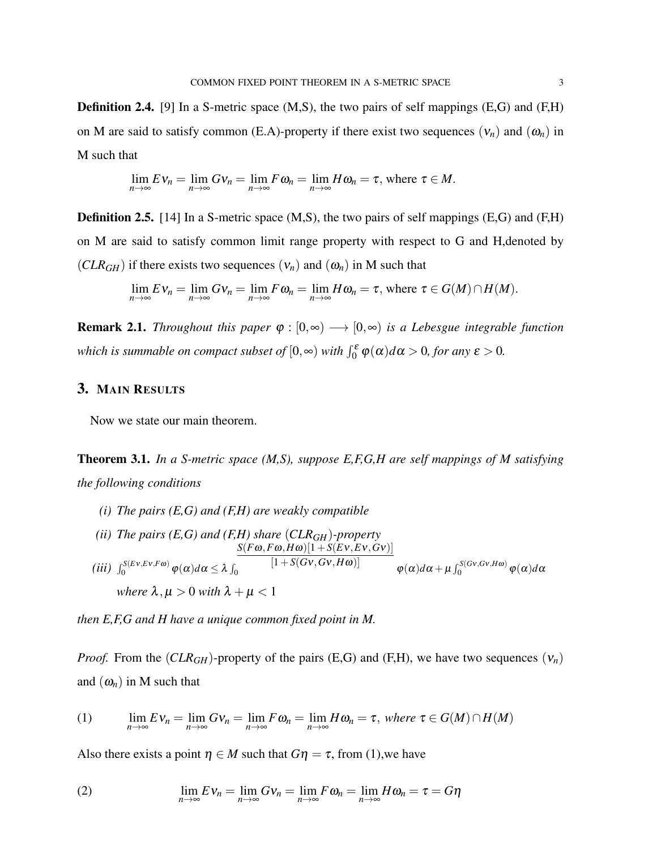**Definition 2.4.** [9] In a S-metric space (M,S), the two pairs of self mappings (E,G) and (F,H) on M are said to satisfy common (E.A)-property if there exist two sequences  $(v_n)$  and  $(\omega_n)$  in M such that

$$
\lim_{n\to\infty}Ev_n=\lim_{n\to\infty}Gv_n=\lim_{n\to\infty}F\omega_n=\lim_{n\to\infty}H\omega_n=\tau, \text{ where } \tau\in M.
$$

**Definition 2.5.** [14] In a S-metric space  $(M, S)$ , the two pairs of self mappings  $(E, G)$  and  $(F, H)$ on M are said to satisfy common limit range property with respect to G and H,denoted by  $(CLR<sub>GH</sub>)$  if there exists two sequences  $(v_n)$  and  $(\omega_n)$  in M such that

$$
\lim_{n\to\infty}E\,v_n=\lim_{n\to\infty}Gv_n=\lim_{n\to\infty}F\omega_n=\lim_{n\to\infty}H\omega_n=\tau, \text{ where }\tau\in G(M)\cap H(M).
$$

**Remark 2.1.** *Throughout this paper*  $\varphi : [0, \infty) \longrightarrow [0, \infty)$  *is a Lebesgue integrable function which is summable on compact subset of*  $[0, \infty)$  *with*  $\int_0^{\varepsilon} \varphi(\alpha) d\alpha > 0$ , for any  $\varepsilon > 0$ .

## 3. MAIN RESULTS

Now we state our main theorem.

Theorem 3.1. *In a S-metric space (M,S), suppose E,F,G,H are self mappings of M satisfying the following conditions*

- *(i) The pairs (E,G) and (F,H) are weakly compatible*
- *(ii) The pairs (E,G) and (F,H) share* (*CLRGH*)*-property*  $(iii)$   $\int_0^{S(Ev,Ev,F\omega)} \varphi(\alpha)d\alpha \leq \lambda \int_0$  $S(F\omega, F\omega, H\omega)[1 + S(Ev, Ev, Gv)]$  $[1+S(Gv,Gv,H\omega)]$  $\varphi(\alpha)d\alpha + \mu \int_0^{S(Gv,Gv,H\omega)} \varphi(\alpha)d\alpha$ *where*  $\lambda, \mu > 0$  *with*  $\lambda + \mu < 1$

*then E,F,G and H have a unique common fixed point in M.*

*Proof.* From the  $(CLR_{GH})$ -property of the pairs (E,G) and (F,H), we have two sequences  $(v_n)$ and  $(\omega_n)$  in M such that

(1) 
$$
\lim_{n\to\infty} E \nu_n = \lim_{n\to\infty} G \nu_n = \lim_{n\to\infty} F \omega_n = \lim_{n\to\infty} H \omega_n = \tau, \text{ where } \tau \in G(M) \cap H(M)
$$

Also there exists a point  $\eta \in M$  such that  $G\eta = \tau$ , from (1), we have

(2) 
$$
\lim_{n \to \infty} E \nu_n = \lim_{n \to \infty} G \nu_n = \lim_{n \to \infty} F \omega_n = \lim_{n \to \infty} H \omega_n = \tau = G \eta
$$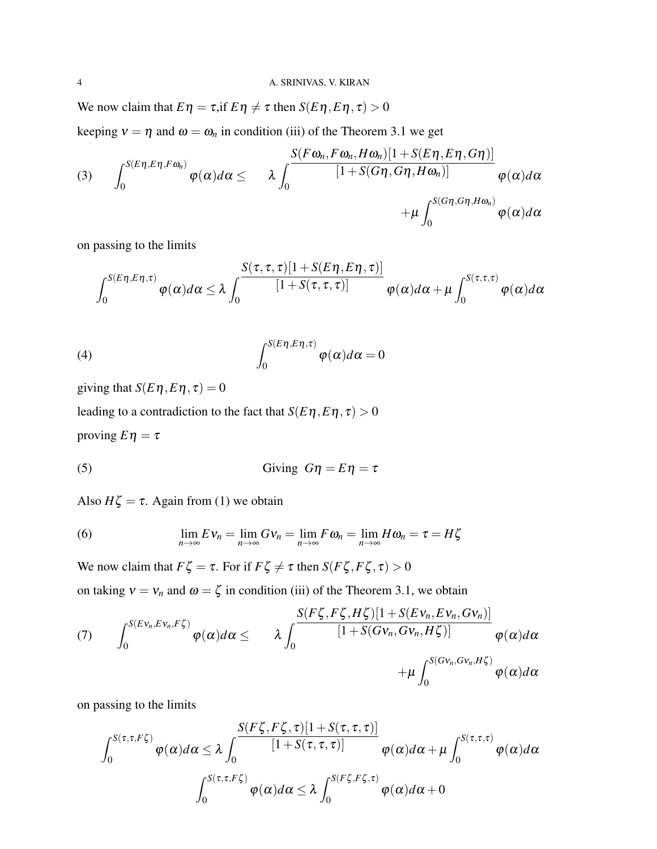We now claim that  $E\eta = \tau$ , if  $E\eta \neq \tau$  then  $S(E\eta, E\eta, \tau) > 0$ keeping  $v = \eta$  and  $\omega = \omega_n$  in condition (iii) of the Theorem 3.1 we get

$$
(3) \qquad \int_0^{S(E\eta,E\eta,F\omega_n)}\varphi(\alpha)d\alpha \leq \qquad \lambda \int_0^{\frac{S(F\omega_n,F\omega_n,H\omega_n)[1+S(E\eta,E\eta,G\eta)]}{[1+S(G\eta,G\eta,H\omega_n)]}}\varphi(\alpha)d\alpha \\qquad \qquad +\mu \int_0^{S(G\eta,G\eta,H\omega_n)}\varphi(\alpha)d\alpha
$$

on passing to the limits

$$
\int_0^{S(E\eta,E\eta,\tau)} \varphi(\alpha) d\alpha \leq \lambda \int_0^{\infty} \frac{S(\tau,\tau,\tau)[1+S(E\eta,E\eta,\tau)]}{[1+S(\tau,\tau,\tau)]} \varphi(\alpha) d\alpha + \mu \int_0^{S(\tau,\tau,\tau)} \varphi(\alpha) d\alpha
$$

(4) 
$$
\int_0^{S(E\eta, E\eta, \tau)} \varphi(\alpha) d\alpha = 0
$$

giving that  $S(E\eta, E\eta, \tau) = 0$ 

leading to a contradiction to the fact that  $S(E\eta, E\eta, \tau) > 0$ proving  $E\eta = \tau$ 

(5) Giving 
$$
G\eta = E\eta = \tau
$$

Also  $H\zeta = \tau$ . Again from (1) we obtain

(6) 
$$
\lim_{n \to \infty} E \nu_n = \lim_{n \to \infty} G \nu_n = \lim_{n \to \infty} F \omega_n = \lim_{n \to \infty} H \omega_n = \tau = H \zeta
$$

We now claim that  $F\zeta = \tau$ . For if  $F\zeta \neq \tau$  then  $S(F\zeta, F\zeta, \tau) > 0$ 

on taking  $v = v_n$  and  $\omega = \zeta$  in condition (iii) of the Theorem 3.1, we obtain

(7) 
$$
\int_0^{S(Ev_n, Ev_n, F\zeta)} \varphi(\alpha) d\alpha \leq \lambda \int_0^{\frac{S(F\zeta, F\zeta, H\zeta)[1+S(Ev_n, Ev_n, Gv_n)]}{[1+S(Gv_n, Gv_n, H\zeta)]}} \varphi(\alpha) d\alpha + \mu \int_0^{S(Gv_n, Gv_n, H\zeta)} \varphi(\alpha) d\alpha
$$

on passing to the limits

$$
\int_0^{S(\tau,\tau,F\xi)} \varphi(\alpha) d\alpha \leq \lambda \int_0^{\frac{S(F\zeta,F\zeta,\tau)[1+S(\tau,\tau,\tau)]}{[1+S(\tau,\tau,\tau)]}} \varphi(\alpha) d\alpha + \mu \int_0^{S(\tau,\tau,\tau)} \varphi(\alpha) d\alpha
$$

$$
\int_0^{S(\tau,\tau,F\zeta)} \varphi(\alpha) d\alpha \leq \lambda \int_0^{S(F\zeta,F\zeta,\tau)} \varphi(\alpha) d\alpha + 0
$$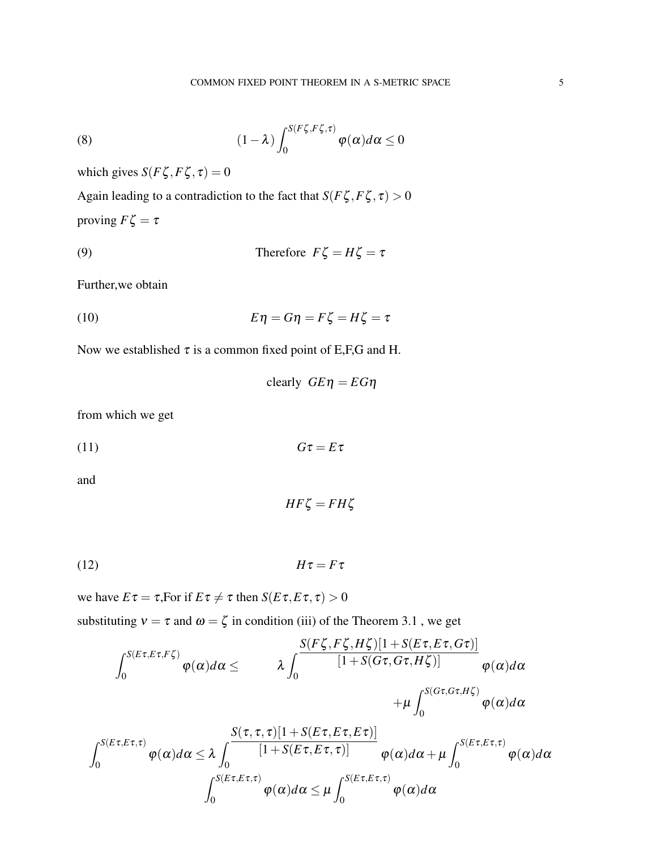(8) 
$$
(1 - \lambda) \int_0^{S(F\zeta, F\zeta, \tau)} \varphi(\alpha) d\alpha \le 0
$$

which gives  $S(F\zeta, F\zeta, \tau) = 0$ 

Again leading to a contradiction to the fact that  $S(F\zeta, F\zeta, \tau) > 0$ proving  $F\zeta = \tau$ 

(9) Therefore 
$$
F\zeta = H\zeta = \tau
$$

Further,we obtain

(10) 
$$
E\eta = G\eta = F\zeta = H\zeta = \tau
$$

Now we established  $\tau$  is a common fixed point of E,F,G and H.

*clearly*  $G E \eta = E G \eta$ 

from which we get

(11) *G*τ = *E*τ

and

$$
HF\zeta = FH\zeta
$$

(12) *H*τ = *F*τ

we have  $E\tau = \tau$ , For if  $E\tau \neq \tau$  then  $S(E\tau, E\tau, \tau) > 0$ 

substituting  $v = \tau$  and  $\omega = \zeta$  in condition (iii) of the Theorem 3.1, we get

$$
\int_0^{S(E\tau, E\tau, F\zeta)} \varphi(\alpha) d\alpha \le \q \lambda \int_0^{\frac{S(F\zeta, F\zeta, H\zeta)[1 + S(E\tau, E\tau, G\tau)]}{[1 + S(G\tau, G\tau, H\zeta)]}} \varphi(\alpha) d\alpha
$$

$$
+ \mu \int_0^{S(G\tau, G\tau, H\zeta)} \varphi(\alpha) d\alpha
$$

$$
\int_0^{S(E\tau, E\tau, \tau)} \varphi(\alpha) d\alpha \leq \lambda \int_0^{\infty} \frac{S(\tau, \tau, \tau)[1 + S(E\tau, E\tau, E\tau)]}{[1 + S(E\tau, E\tau, \tau)]} \varphi(\alpha) d\alpha + \mu \int_0^{S(E\tau, E\tau, \tau)} \varphi(\alpha) d\alpha
$$

$$
\int_0^{S(E\tau, E\tau, \tau)} \varphi(\alpha) d\alpha \leq \mu \int_0^{S(E\tau, E\tau, \tau)} \varphi(\alpha) d\alpha
$$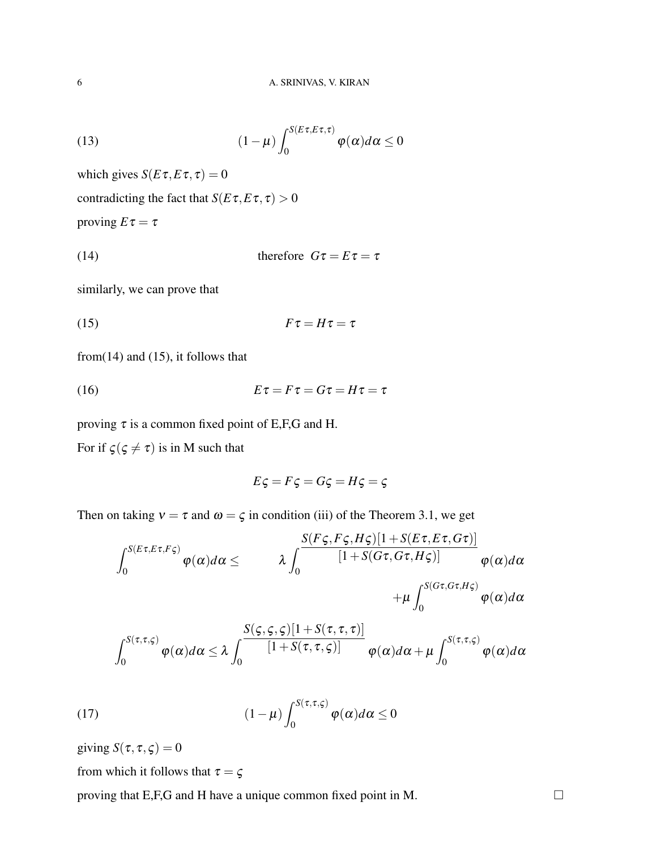(13) 
$$
(1 - \mu) \int_0^{S(E\tau, E\tau, \tau)} \varphi(\alpha) d\alpha \le 0
$$

which gives  $S(E\tau, E\tau, \tau) = 0$ 

contradicting the fact that  $S(E\tau, E\tau, \tau) > 0$ 

proving  $E\tau = \tau$ 

(14) therefore 
$$
G\tau = E\tau = \tau
$$

similarly, we can prove that

$$
(15) \t\t\t F\tau = H\tau = \tau
$$

from $(14)$  and  $(15)$ , it follows that

(16) *E*τ = *F*τ = *G*τ = *H*τ = τ

proving  $\tau$  is a common fixed point of E,F,G and H.

For if  $\zeta(\zeta \neq \tau)$  is in M such that

$$
E\varsigma = F\varsigma = G\varsigma = H\varsigma = \varsigma
$$

Then on taking  $v = \tau$  and  $\omega = \zeta$  in condition (iii) of the Theorem 3.1, we get

$$
\int_0^{S(E\tau, E\tau, F\zeta)} \varphi(\alpha) d\alpha \leq \qquad \lambda \int_0^{\frac{S(F\zeta, F\zeta, H\zeta)[1+S(E\tau, E\tau, G\tau)]}{[1+S(G\tau, G\tau, H\zeta)]}} \varphi(\alpha) d\alpha +\mu \int_0^{S(G\tau, G\tau, H\zeta)} \varphi(\alpha) d\alpha
$$

$$
\int_0^{S(\tau,\tau,\varsigma)} \varphi(\alpha) d\alpha \leq \lambda \int_0^{\frac{S(\varsigma,\varsigma,\varsigma)[1+S(\tau,\tau,\tau)]}{[1+S(\tau,\tau,\varsigma)]}} \varphi(\alpha) d\alpha + \mu \int_0^{S(\tau,\tau,\varsigma)} \varphi(\alpha) d\alpha
$$

(17) 
$$
(1 - \mu) \int_0^{S(\tau, \tau, \varsigma)} \varphi(\alpha) d\alpha \le 0
$$

giving  $S(\tau, \tau, \zeta) = 0$ 

from which it follows that  $\tau = \varsigma$ 

proving that E,F,G and H have a unique common fixed point in M.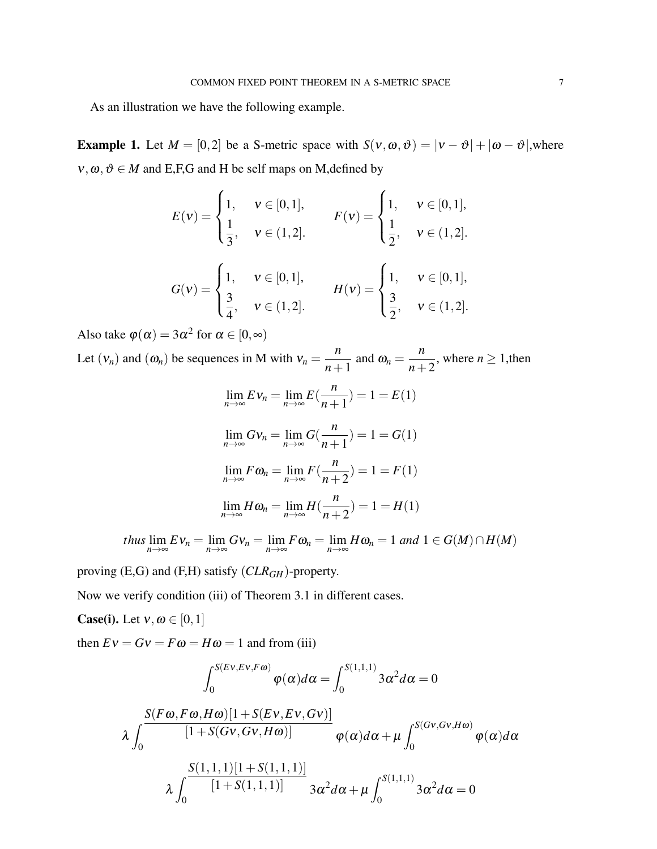As an illustration we have the following example.

**Example 1.** Let  $M = [0,2]$  be a S-metric space with  $S(v, \omega, \vartheta) = |v - \vartheta| + |\omega - \vartheta|$ , where  $v, \omega, \vartheta \in M$  and E,F,G and H be self maps on M, defined by

$$
E(v) = \begin{cases} 1, & v \in [0,1], \\ \frac{1}{3}, & v \in (1,2]. \end{cases} \qquad F(v) = \begin{cases} 1, & v \in [0,1], \\ \frac{1}{2}, & v \in (1,2]. \end{cases}
$$

$$
G(v) = \begin{cases} 1, & v \in [0,1], \\ \frac{3}{4}, & v \in (1,2]. \end{cases} \qquad H(v) = \begin{cases} 1, & v \in [0,1], \\ \frac{3}{2}, & v \in (1,2]. \end{cases}
$$

Also take  $\varphi(\alpha) = 3\alpha^2$  for  $\alpha \in [0, \infty)$ 

Let  $(v_n)$  and  $(\omega_n)$  be sequences in M with  $v_n =$ *n*  $\frac{n}{n+1}$  and  $\omega_n =$ *n n*+2 , where  $n \geq 1$ , then

$$
\lim_{n \to \infty} E \nu_n = \lim_{n \to \infty} E\left(\frac{n}{n+1}\right) = 1 = E(1)
$$
  

$$
\lim_{n \to \infty} G \nu_n = \lim_{n \to \infty} G\left(\frac{n}{n+1}\right) = 1 = G(1)
$$
  

$$
\lim_{n \to \infty} F \omega_n = \lim_{n \to \infty} F\left(\frac{n}{n+2}\right) = 1 = F(1)
$$
  

$$
\lim_{n \to \infty} H \omega_n = \lim_{n \to \infty} H\left(\frac{n}{n+2}\right) = 1 = H(1)
$$

*thus*  $\lim_{n\to\infty} Ev_n = \lim_{n\to\infty} Gv_n = \lim_{n\to\infty} F\omega_n = \lim_{n\to\infty} H\omega_n = 1$  and  $1 \in G(M) \cap H(M)$ 

proving (E,G) and (F,H) satisfy (*CLRGH*)-property.

Now we verify condition (iii) of Theorem 3.1 in different cases.

**Case(i).** Let  $v, \omega \in [0, 1]$ 

then  $EV = GV = F\omega = H\omega = 1$  and from (iii)

$$
\int_0^{S(Ev, Ev, F\omega)} \varphi(\alpha) d\alpha = \int_0^{S(1,1,1)} 3\alpha^2 d\alpha = 0
$$
  

$$
\lambda \int_0^{\frac{S(F\omega, F\omega, H\omega)[1 + S(Ev, Ev, Gv)]}{[1 + S(Gv, Gv, H\omega)]}} \varphi(\alpha) d\alpha + \mu \int_0^{S(Gv, Gv, H\omega)} \varphi(\alpha) d\alpha
$$
  

$$
\lambda \int_0^{\frac{S(1,1,1)[1 + S(1,1,1)]}{[1 + S(1,1,1)]}} 3\alpha^2 d\alpha + \mu \int_0^{S(1,1,1)} 3\alpha^2 d\alpha = 0
$$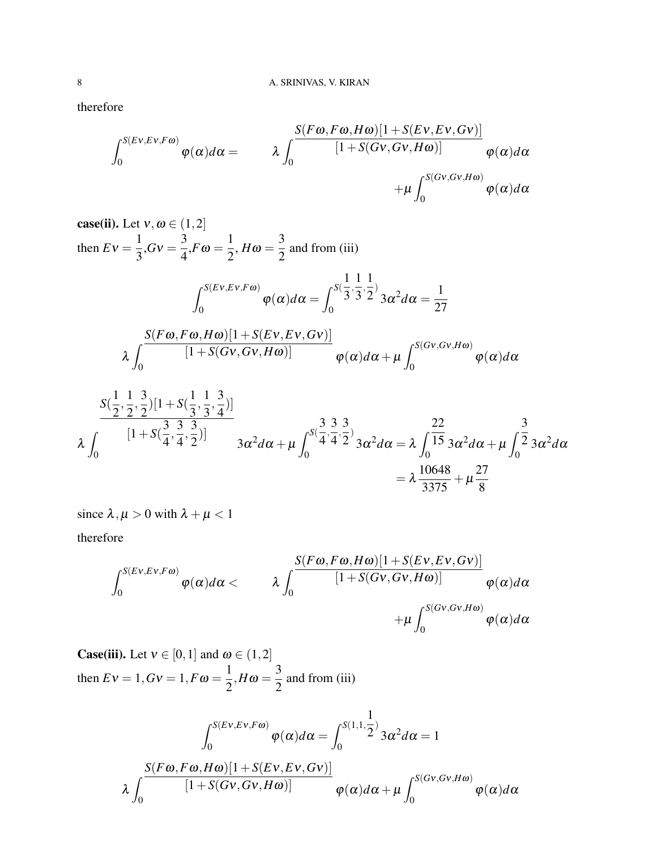therefore

$$
\int_0^{S(Ev, Ev, F\omega)} \varphi(\alpha) d\alpha = \qquad \lambda \int_0^{\frac{S(F\omega, F\omega, H\omega)[1+S(Ev, Ev, Gv)]}{[1+S(Gv, Gv, H\omega)]}} \varphi(\alpha) d\alpha \n+ \mu \int_0^{S(Gv, Gv, H\omega)} \varphi(\alpha) d\alpha
$$

**case(ii).** Let 
$$
v, \omega \in (1, 2]
$$

\nthen  $Ev = \frac{1}{3}, Gv = \frac{3}{4}, F\omega = \frac{1}{2}, H\omega = \frac{3}{2}$  and from (iii)

\n
$$
\int_0^{S(Ev, Ev, F\omega)} \varphi(\alpha) d\alpha = \int_0^{S(\frac{1}{3}, \frac{1}{3}, \frac{1}{2})} 3\alpha^2 d\alpha = \frac{1}{27}
$$
\n
$$
\lambda \int_0^{\frac{S(F\omega, F\omega, H\omega)[1 + S(Ev, Ev, Gv)]}{[1 + S(Gv, Gv, H\omega)]}} \varphi(\alpha) d\alpha + \mu \int_0^{S(Gv, Gv, H\omega)} \varphi(\alpha) d\alpha
$$
\n
$$
\frac{S(\frac{1}{2}, \frac{1}{2}, \frac{3}{2})[1 + S(\frac{1}{3}, \frac{1}{3}, \frac{3}{4})]}{[1 + S(\frac{3}{4}, \frac{3}{4}, \frac{3}{2})]}
$$
\n
$$
\lambda \int_0^{\frac{1}{2}[\frac{1}{2}, \frac{3}{2}, \frac{3}{2}]} \frac{3}{3\alpha^2 d\alpha + \mu} \int_0^{S(\frac{3}{4}, \frac{3}{4}, \frac{3}{2})} 3\alpha^2 d\alpha = \lambda \int_0^{\frac{22}{15}} 3\alpha^2 d\alpha + \mu \int_0^{\frac{3}{2}} 3\alpha^2 d\alpha
$$

$$
\lambda \int_0^{\frac{1}{2} + \frac{1}{2} \left(4, 4, 2\right)^2} 3\alpha^2 d\alpha + \mu \int_0^{\frac{1}{2} \left(4, 4, 2\right)^2} 3\alpha^2 d\alpha = \lambda \int_0^{15} 3\alpha^2 d\alpha + \mu \int_0^{\frac{1}{2} \left(3\alpha^2 d\alpha\right)} 3\alpha^2 d\alpha
$$

$$
= \lambda \frac{10648}{3375} + \mu \frac{27}{8}
$$

since  $\lambda, \mu > 0$  with  $\lambda + \mu < 1$ therefore

$$
\int_0^{S(Ev, Ev, F\omega)} \varphi(\alpha) d\alpha < \lambda \int_0^{\frac{S(F\omega, F\omega, H\omega)[1+S(Ev, Ev, Gv)]}{[1+S(Gv, Gv, H\omega)]}} \varphi(\alpha) d\alpha +\mu \int_0^{S(Gv, Gv, H\omega)} \varphi(\alpha) d\alpha
$$

**Case(iii).** Let  $v \in [0,1]$  and  $\omega \in (1,2]$ then  $Ev = 1$ ,  $Gv = 1$ ,  $F\omega = \frac{1}{2}$  $\frac{1}{2}$ ,  $H\omega = \frac{3}{2}$ 2 and from (iii)

$$
\int_0^{S(Ev, Ev, F\omega)} \varphi(\alpha) d\alpha = \int_0^{S(1,1,\frac{1}{2})} 3\alpha^2 d\alpha = 1
$$

$$
\lambda \int_0^{\frac{S(F\omega, F\omega, H\omega)[1 + S(Ev, Ev, Gv)]}{[1 + S(Gv, Gv, H\omega)]}} \varphi(\alpha) d\alpha + \mu \int_0^{S(Gv, Gv, H\omega)} \varphi(\alpha) d\alpha
$$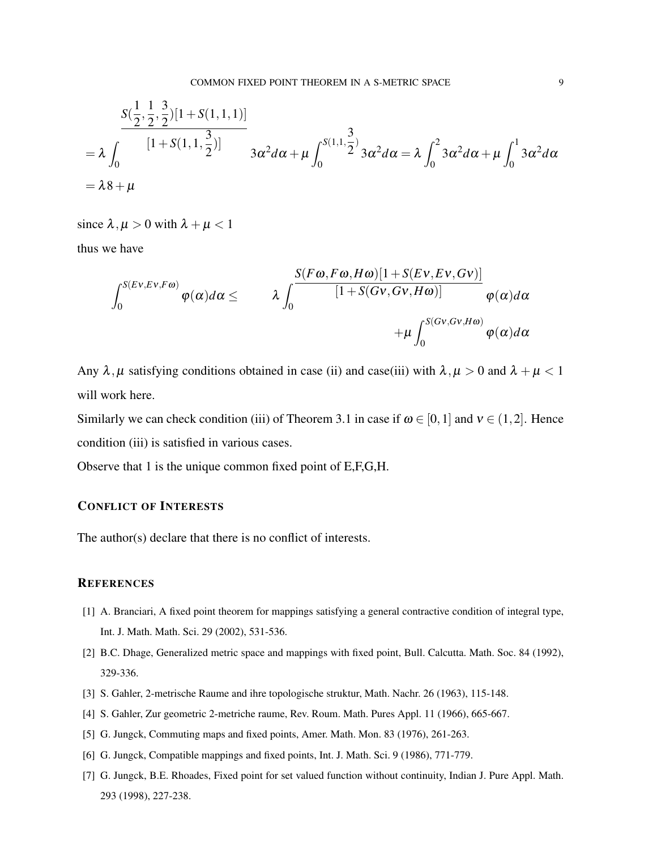$$
\begin{aligned}\n&\frac{S(\frac{1}{2},\frac{1}{2},\frac{3}{2})[1+S(1,1,1)]}{[1+S(1,1,\frac{3}{2})]} \\
&= \lambda \int_0^{\frac{[1+S(1,1,\frac{3}{2})]}{3\alpha^2 d\alpha + \mu \int_0^{S(1,1,\frac{3}{2})} 3\alpha^2 d\alpha} = \lambda \int_0^2 3\alpha^2 d\alpha + \mu \int_0^1 3\alpha^2 d\alpha \\
&= \lambda 8 + \mu\n\end{aligned}
$$

since  $\lambda, \mu > 0$  with  $\lambda + \mu < 1$ 

thus we have

$$
\int_0^{S(Ev, Ev, F\omega)} \varphi(\alpha) d\alpha \leq \qquad \lambda \int_0^{\frac{S(F\omega, F\omega, H\omega)[1+S(Ev, Ev, Gv)]}{[1+S(Gv, Gv, H\omega)]}} \varphi(\alpha) d\alpha +\mu \int_0^{S(Gv, Gv, H\omega)} \varphi(\alpha) d\alpha
$$

Any  $\lambda, \mu$  satisfying conditions obtained in case (ii) and case(iii) with  $\lambda, \mu > 0$  and  $\lambda + \mu < 1$ will work here.

Similarly we can check condition (iii) of Theorem 3.1 in case if  $\omega \in [0,1]$  and  $v \in (1,2]$ . Hence condition (iii) is satisfied in various cases.

Observe that 1 is the unique common fixed point of E,F,G,H.

#### CONFLICT OF INTERESTS

The author(s) declare that there is no conflict of interests.

#### **REFERENCES**

- [1] A. Branciari, A fixed point theorem for mappings satisfying a general contractive condition of integral type, Int. J. Math. Math. Sci. 29 (2002), 531-536.
- [2] B.C. Dhage, Generalized metric space and mappings with fixed point, Bull. Calcutta. Math. Soc. 84 (1992), 329-336.
- [3] S. Gahler, 2-metrische Raume and ihre topologische struktur, Math. Nachr. 26 (1963), 115-148.
- [4] S. Gahler, Zur geometric 2-metriche raume, Rev. Roum. Math. Pures Appl. 11 (1966), 665-667.
- [5] G. Jungck, Commuting maps and fixed points, Amer. Math. Mon. 83 (1976), 261-263.
- [6] G. Jungck, Compatible mappings and fixed points, Int. J. Math. Sci. 9 (1986), 771-779.
- [7] G. Jungck, B.E. Rhoades, Fixed point for set valued function without continuity, Indian J. Pure Appl. Math. 293 (1998), 227-238.